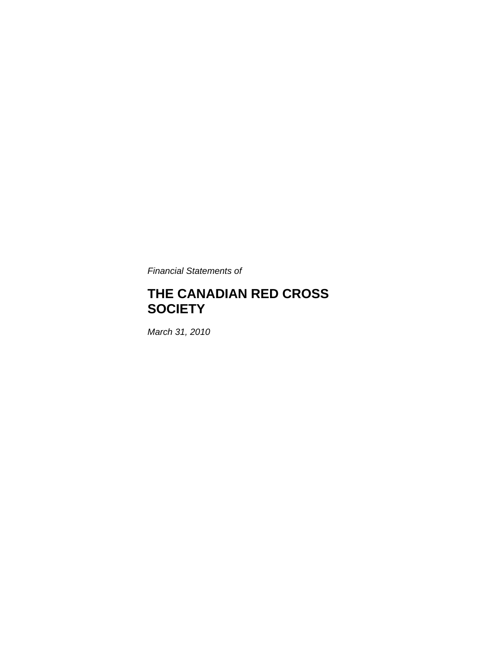*Financial Statements of* 

# **THE CANADIAN RED CROSS SOCIETY**

*March 31, 2010*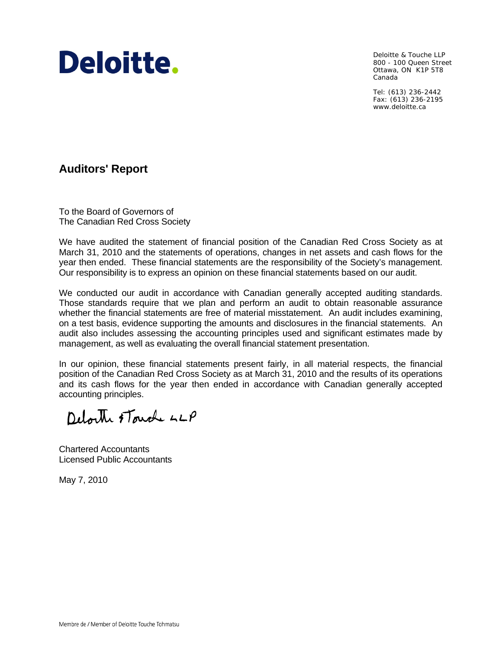

Deloitte & Touche LLP 800 - 100 Queen Street Ottawa, ON K1P 5T8 Canada

Tel: (613) 236-2442 Fax: (613) 236-2195 www.deloitte.ca

### **Auditors' Report**

To the Board of Governors of The Canadian Red Cross Society

We have audited the statement of financial position of the Canadian Red Cross Society as at March 31, 2010 and the statements of operations, changes in net assets and cash flows for the year then ended. These financial statements are the responsibility of the Society's management. Our responsibility is to express an opinion on these financial statements based on our audit.

We conducted our audit in accordance with Canadian generally accepted auditing standards. Those standards require that we plan and perform an audit to obtain reasonable assurance whether the financial statements are free of material misstatement. An audit includes examining, on a test basis, evidence supporting the amounts and disclosures in the financial statements. An audit also includes assessing the accounting principles used and significant estimates made by management, as well as evaluating the overall financial statement presentation.

In our opinion, these financial statements present fairly, in all material respects, the financial position of the Canadian Red Cross Society as at March 31, 2010 and the results of its operations and its cash flows for the year then ended in accordance with Canadian generally accepted accounting principles.

Delorth Touch LLP

Chartered Accountants Licensed Public Accountants

May 7, 2010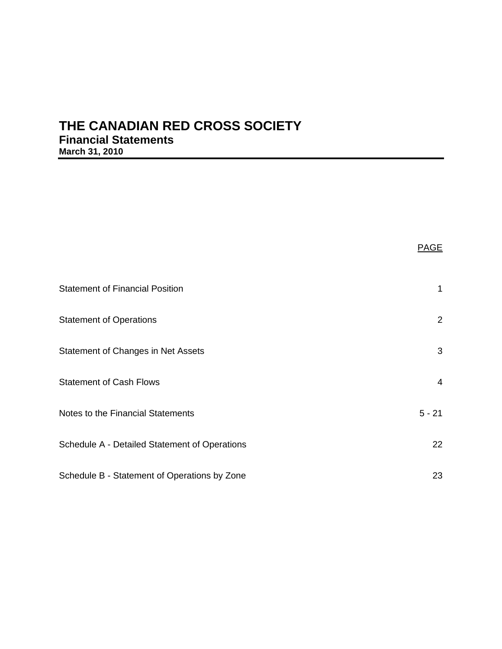### **THE CANADIAN RED CROSS SOCIETY Financial Statements March 31, 2010**

| <b>Statement of Financial Position</b>        | 1              |
|-----------------------------------------------|----------------|
| <b>Statement of Operations</b>                | $\overline{2}$ |
| Statement of Changes in Net Assets            | 3              |
| <b>Statement of Cash Flows</b>                | $\overline{4}$ |
| Notes to the Financial Statements             | $5 - 21$       |
| Schedule A - Detailed Statement of Operations | 22             |
| Schedule B - Statement of Operations by Zone  | 23             |

PAGE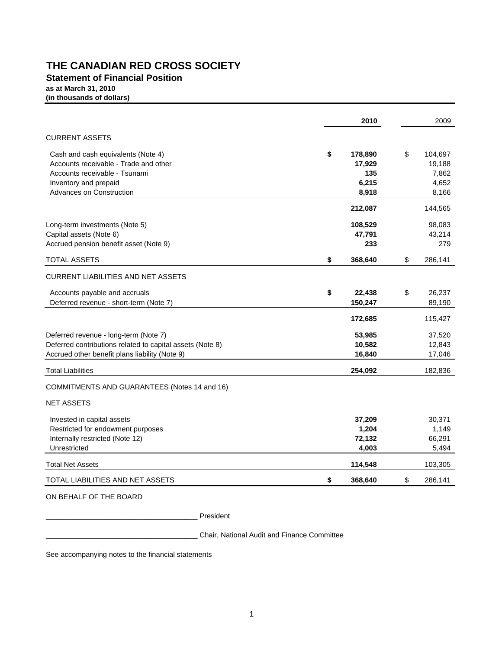### **Statement of Financial Position**

**as at March 31, 2010**

| (in thousands of dollars) |  |  |
|---------------------------|--|--|
|                           |  |  |
|                           |  |  |
|                           |  |  |
| <b>CURRENT ASSETS</b>     |  |  |

| Cash and cash equivalents (Note 4)                        | \$<br>178,890 | \$<br>104,697 |
|-----------------------------------------------------------|---------------|---------------|
| Accounts receivable - Trade and other                     | 17,929        | 19,188        |
| Accounts receivable - Tsunami                             | 135           | 7,862         |
| Inventory and prepaid                                     | 6,215         | 4,652         |
| Advances on Construction                                  | 8,918         | 8,166         |
|                                                           | 212,087       | 144,565       |
| Long-term investments (Note 5)                            | 108,529       | 98,083        |
| Capital assets (Note 6)                                   | 47,791        | 43,214        |
| Accrued pension benefit asset (Note 9)                    | 233           | 279           |
| <b>TOTAL ASSETS</b>                                       | \$<br>368,640 | \$<br>286,141 |
| <b>CURRENT LIABILITIES AND NET ASSETS</b>                 |               |               |
| Accounts payable and accruals                             | \$<br>22,438  | \$<br>26,237  |
| Deferred revenue - short-term (Note 7)                    | 150,247       | 89,190        |
|                                                           |               |               |
|                                                           | 172,685       | 115,427       |
| Deferred revenue - long-term (Note 7)                     | 53,985        | 37,520        |
| Deferred contributions related to capital assets (Note 8) | 10,582        | 12,843        |
| Accrued other benefit plans liability (Note 9)            | 16,840        | 17,046        |
| <b>Total Liabilities</b>                                  | 254,092       | 182,836       |
| COMMITMENTS AND GUARANTEES (Notes 14 and 16)              |               |               |
| <b>NET ASSETS</b>                                         |               |               |
| Invested in capital assets                                | 37,209        | 30,371        |
| Restricted for endowment purposes                         | 1,204         | 1,149         |
| Internally restricted (Note 12)                           | 72,132        | 66,291        |
| Unrestricted                                              | 4,003         | 5,494         |
| <b>Total Net Assets</b>                                   | 114,548       | 103,305       |
| TOTAL LIABILITIES AND NET ASSETS                          | \$<br>368,640 | \$<br>286,141 |
|                                                           |               |               |

**2010** 2009

ON BEHALF OF THE BOARD

\_\_\_\_\_\_\_\_\_\_\_\_\_\_\_\_\_\_\_\_\_\_\_\_\_\_\_\_\_\_\_\_\_\_\_\_\_\_ President

\_\_\_\_\_\_\_\_\_\_\_\_\_\_\_\_\_\_\_\_\_\_\_\_\_\_\_\_\_\_\_\_\_\_\_\_\_\_ Chair, National Audit and Finance Committee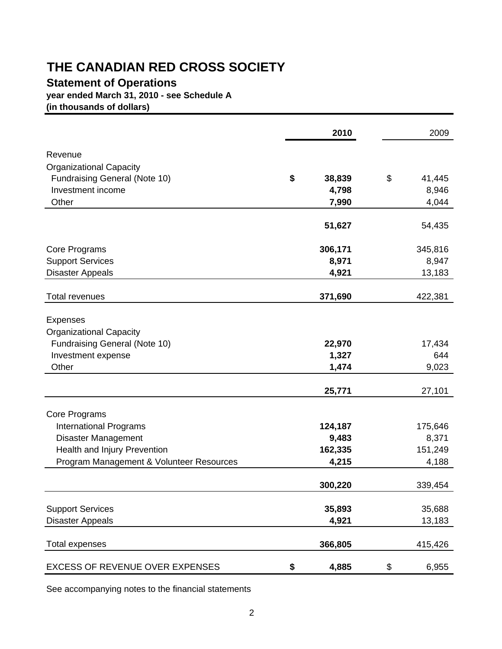## **Statement of Operations**

**year ended March 31, 2010 - see Schedule A**

**(in thousands of dollars)**

|                                                   |         | 2010   | 2009             |
|---------------------------------------------------|---------|--------|------------------|
| Revenue                                           |         |        |                  |
| <b>Organizational Capacity</b>                    |         |        |                  |
| Fundraising General (Note 10)                     | \$      | 38,839 | \$<br>41,445     |
| Investment income                                 |         | 4,798  | 8,946            |
| Other                                             |         | 7,990  | 4,044            |
|                                                   |         | 51,627 | 54,435           |
|                                                   |         |        |                  |
| Core Programs                                     | 306,171 |        | 345,816          |
| <b>Support Services</b>                           |         | 8,971  | 8,947            |
| <b>Disaster Appeals</b>                           |         | 4,921  | 13,183           |
|                                                   |         |        |                  |
| <b>Total revenues</b>                             | 371,690 |        | 422,381          |
|                                                   |         |        |                  |
| <b>Expenses</b><br><b>Organizational Capacity</b> |         |        |                  |
| Fundraising General (Note 10)                     |         | 22,970 | 17,434           |
| Investment expense                                |         | 1,327  | 644              |
| Other                                             |         | 1,474  | 9,023            |
|                                                   |         |        |                  |
|                                                   |         | 25,771 | 27,101           |
|                                                   |         |        |                  |
| Core Programs<br><b>International Programs</b>    |         |        |                  |
| <b>Disaster Management</b>                        | 124,187 | 9,483  | 175,646<br>8,371 |
| Health and Injury Prevention                      | 162,335 |        | 151,249          |
| Program Management & Volunteer Resources          |         | 4,215  | 4,188            |
|                                                   |         |        |                  |
|                                                   | 300,220 |        | 339,454          |
|                                                   |         |        |                  |
| <b>Support Services</b>                           |         | 35,893 | 35,688           |
| <b>Disaster Appeals</b>                           |         | 4,921  | 13,183           |
| <b>Total expenses</b>                             | 366,805 |        | 415,426          |
| <b>EXCESS OF REVENUE OVER EXPENSES</b>            | \$      | 4,885  | \$<br>6,955      |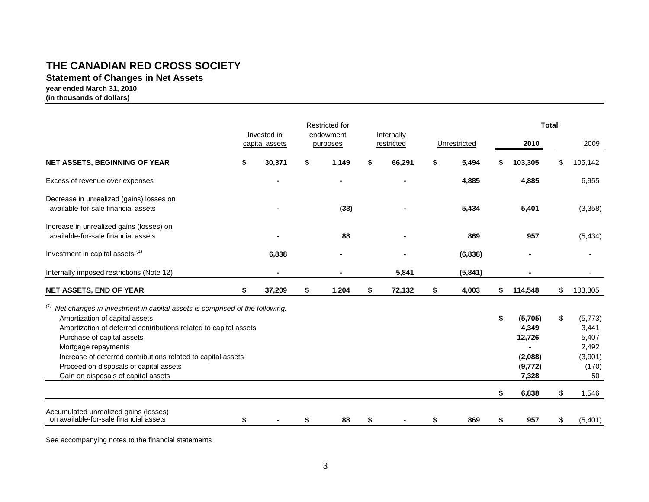### **Statement of Changes in Net Assets**

**year ended March 31, 2010 (in thousands of dollars)**

|                                                                                                                                                                                                                                                                                                                                                                                                       |    |                               | <b>Restricted for</b> |                       |                          |              |    | <b>Total</b>                                               |     |                                                               |
|-------------------------------------------------------------------------------------------------------------------------------------------------------------------------------------------------------------------------------------------------------------------------------------------------------------------------------------------------------------------------------------------------------|----|-------------------------------|-----------------------|-----------------------|--------------------------|--------------|----|------------------------------------------------------------|-----|---------------------------------------------------------------|
|                                                                                                                                                                                                                                                                                                                                                                                                       |    | Invested in<br>capital assets |                       | endowment<br>purposes | Internally<br>restricted | Unrestricted |    | 2010                                                       |     | 2009                                                          |
| <b>NET ASSETS, BEGINNING OF YEAR</b>                                                                                                                                                                                                                                                                                                                                                                  | \$ | 30,371                        | \$                    | 1,149                 | \$<br>66,291             | \$<br>5,494  |    | 103,305                                                    | \$  | 105,142                                                       |
| Excess of revenue over expenses                                                                                                                                                                                                                                                                                                                                                                       |    |                               |                       |                       |                          | 4,885        |    | 4,885                                                      |     | 6,955                                                         |
| Decrease in unrealized (gains) losses on<br>available-for-sale financial assets                                                                                                                                                                                                                                                                                                                       |    |                               |                       | (33)                  |                          | 5,434        |    | 5,401                                                      |     | (3,358)                                                       |
| Increase in unrealized gains (losses) on<br>available-for-sale financial assets                                                                                                                                                                                                                                                                                                                       |    |                               |                       | 88                    |                          | 869          |    | 957                                                        |     | (5, 434)                                                      |
| Investment in capital assets (1)                                                                                                                                                                                                                                                                                                                                                                      |    | 6,838                         |                       |                       |                          | (6, 838)     |    |                                                            |     |                                                               |
| Internally imposed restrictions (Note 12)                                                                                                                                                                                                                                                                                                                                                             |    |                               |                       |                       | 5.841                    | (5,841)      |    |                                                            |     |                                                               |
| <b>NET ASSETS, END OF YEAR</b>                                                                                                                                                                                                                                                                                                                                                                        | \$ | 37,209                        | \$                    | 1,204                 | \$<br>72,132             | \$<br>4,003  | S. | 114,548                                                    | \$  | 103,305                                                       |
| <sup>(1)</sup> Net changes in investment in capital assets is comprised of the following:<br>Amortization of capital assets<br>Amortization of deferred contributions related to capital assets<br>Purchase of capital assets<br>Mortgage repayments<br>Increase of deferred contributions related to capital assets<br>Proceed on disposals of capital assets<br>Gain on disposals of capital assets |    |                               |                       |                       |                          |              | \$ | (5,705)<br>4,349<br>12,726<br>(2,088)<br>(9, 772)<br>7,328 | \$  | (5, 773)<br>3,441<br>5,407<br>2,492<br>(3,901)<br>(170)<br>50 |
|                                                                                                                                                                                                                                                                                                                                                                                                       |    |                               |                       |                       |                          |              | S  | 6,838                                                      | \$. | 1,546                                                         |
| Accumulated unrealized gains (losses)<br>on available-for-sale financial assets                                                                                                                                                                                                                                                                                                                       | \$ |                               | S                     | 88                    | \$                       | \$<br>869    | S  | 957                                                        | \$  | (5,401)                                                       |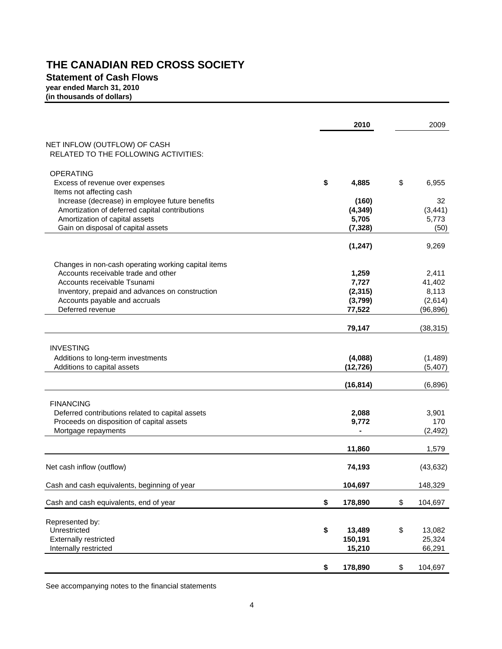### **Statement of Cash Flows**

**year ended March 31, 2010**

**(in thousands of dollars)**

|                                                                                                                                                                                                                                                                                                                                                                                                                                                                                                                                                                                                                                                                                 | 2010                                            | 2009                                             |
|---------------------------------------------------------------------------------------------------------------------------------------------------------------------------------------------------------------------------------------------------------------------------------------------------------------------------------------------------------------------------------------------------------------------------------------------------------------------------------------------------------------------------------------------------------------------------------------------------------------------------------------------------------------------------------|-------------------------------------------------|--------------------------------------------------|
| NET INFLOW (OUTFLOW) OF CASH<br>RELATED TO THE FOLLOWING ACTIVITIES:                                                                                                                                                                                                                                                                                                                                                                                                                                                                                                                                                                                                            |                                                 |                                                  |
| <b>OPERATING</b><br>Excess of revenue over expenses                                                                                                                                                                                                                                                                                                                                                                                                                                                                                                                                                                                                                             | \$<br>4,885                                     | \$<br>6,955                                      |
| Items not affecting cash<br>Increase (decrease) in employee future benefits<br>Amortization of deferred capital contributions<br>Amortization of capital assets<br>Gain on disposal of capital assets<br>Changes in non-cash operating working capital items<br>Accounts receivable trade and other<br>Accounts receivable Tsunami<br>Inventory, prepaid and advances on construction<br>Accounts payable and accruals<br>Deferred revenue<br><b>INVESTING</b><br>Additions to long-term investments<br>Additions to capital assets<br><b>FINANCING</b><br>Deferred contributions related to capital assets<br>Proceeds on disposition of capital assets<br>Mortgage repayments | (160)<br>(4, 349)<br>5,705<br>(7, 328)          | 32<br>(3, 441)<br>5,773<br>(50)                  |
|                                                                                                                                                                                                                                                                                                                                                                                                                                                                                                                                                                                                                                                                                 | (1, 247)                                        | 9,269                                            |
| Net cash inflow (outflow)<br>Cash and cash equivalents, beginning of year<br>Cash and cash equivalents, end of year<br>Represented by:                                                                                                                                                                                                                                                                                                                                                                                                                                                                                                                                          | 1,259<br>7,727<br>(2, 315)<br>(3,799)<br>77,522 | 2,411<br>41,402<br>8,113<br>(2,614)<br>(96, 896) |
|                                                                                                                                                                                                                                                                                                                                                                                                                                                                                                                                                                                                                                                                                 | 79,147                                          | (38, 315)                                        |
|                                                                                                                                                                                                                                                                                                                                                                                                                                                                                                                                                                                                                                                                                 | (4,088)<br>(12, 726)                            | (1,489)<br>(5, 407)                              |
|                                                                                                                                                                                                                                                                                                                                                                                                                                                                                                                                                                                                                                                                                 | (16, 814)                                       | (6,896)                                          |
|                                                                                                                                                                                                                                                                                                                                                                                                                                                                                                                                                                                                                                                                                 | 2,088<br>9,772                                  | 3,901<br>170<br>(2, 492)                         |
|                                                                                                                                                                                                                                                                                                                                                                                                                                                                                                                                                                                                                                                                                 | 11,860                                          | 1,579                                            |
|                                                                                                                                                                                                                                                                                                                                                                                                                                                                                                                                                                                                                                                                                 | 74,193                                          | (43, 632)                                        |
|                                                                                                                                                                                                                                                                                                                                                                                                                                                                                                                                                                                                                                                                                 | 104,697                                         | 148,329                                          |
|                                                                                                                                                                                                                                                                                                                                                                                                                                                                                                                                                                                                                                                                                 | \$<br>178,890                                   | \$<br>104,697                                    |
| Unrestricted<br><b>Externally restricted</b><br>Internally restricted                                                                                                                                                                                                                                                                                                                                                                                                                                                                                                                                                                                                           | \$<br>13,489<br>150,191<br>15,210               | \$<br>13,082<br>25,324<br>66,291                 |
|                                                                                                                                                                                                                                                                                                                                                                                                                                                                                                                                                                                                                                                                                 | \$<br>178,890                                   | \$<br>104,697                                    |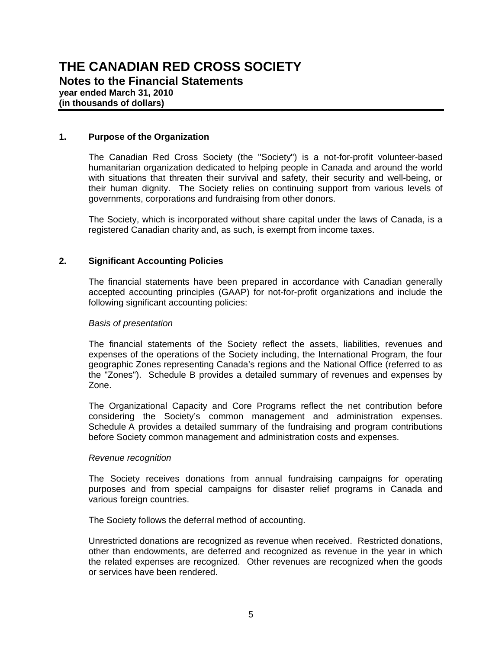### **1. Purpose of the Organization**

The Canadian Red Cross Society (the "Society") is a not-for-profit volunteer-based humanitarian organization dedicated to helping people in Canada and around the world with situations that threaten their survival and safety, their security and well-being, or their human dignity. The Society relies on continuing support from various levels of governments, corporations and fundraising from other donors.

The Society, which is incorporated without share capital under the laws of Canada, is a registered Canadian charity and, as such, is exempt from income taxes.

### **2. Significant Accounting Policies**

The financial statements have been prepared in accordance with Canadian generally accepted accounting principles (GAAP) for not-for-profit organizations and include the following significant accounting policies:

### *Basis of presentation*

The financial statements of the Society reflect the assets, liabilities, revenues and expenses of the operations of the Society including, the International Program, the four geographic Zones representing Canada's regions and the National Office (referred to as the "Zones"). Schedule B provides a detailed summary of revenues and expenses by Zone.

The Organizational Capacity and Core Programs reflect the net contribution before considering the Society's common management and administration expenses. Schedule A provides a detailed summary of the fundraising and program contributions before Society common management and administration costs and expenses.

#### *Revenue recognition*

The Society receives donations from annual fundraising campaigns for operating purposes and from special campaigns for disaster relief programs in Canada and various foreign countries.

The Society follows the deferral method of accounting.

Unrestricted donations are recognized as revenue when received. Restricted donations, other than endowments, are deferred and recognized as revenue in the year in which the related expenses are recognized. Other revenues are recognized when the goods or services have been rendered.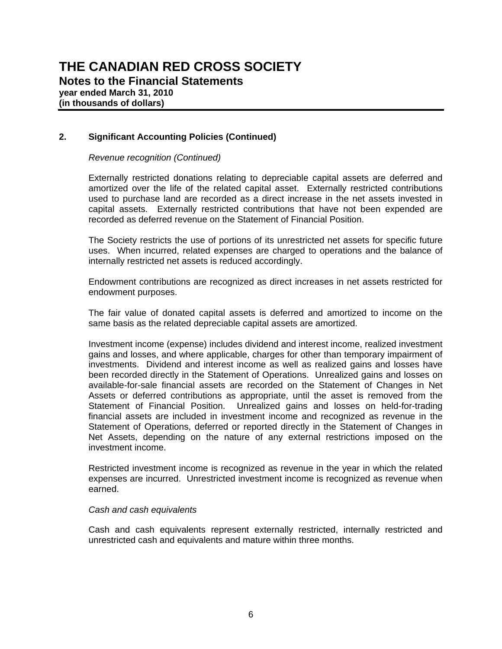### *Revenue recognition (Continued)*

Externally restricted donations relating to depreciable capital assets are deferred and amortized over the life of the related capital asset. Externally restricted contributions used to purchase land are recorded as a direct increase in the net assets invested in capital assets. Externally restricted contributions that have not been expended are recorded as deferred revenue on the Statement of Financial Position.

The Society restricts the use of portions of its unrestricted net assets for specific future uses. When incurred, related expenses are charged to operations and the balance of internally restricted net assets is reduced accordingly.

Endowment contributions are recognized as direct increases in net assets restricted for endowment purposes.

The fair value of donated capital assets is deferred and amortized to income on the same basis as the related depreciable capital assets are amortized.

Investment income (expense) includes dividend and interest income, realized investment gains and losses, and where applicable, charges for other than temporary impairment of investments. Dividend and interest income as well as realized gains and losses have been recorded directly in the Statement of Operations. Unrealized gains and losses on available-for-sale financial assets are recorded on the Statement of Changes in Net Assets or deferred contributions as appropriate, until the asset is removed from the Statement of Financial Position. Unrealized gains and losses on held-for-trading financial assets are included in investment income and recognized as revenue in the Statement of Operations, deferred or reported directly in the Statement of Changes in Net Assets, depending on the nature of any external restrictions imposed on the investment income.

Restricted investment income is recognized as revenue in the year in which the related expenses are incurred. Unrestricted investment income is recognized as revenue when earned.

#### *Cash and cash equivalents*

Cash and cash equivalents represent externally restricted, internally restricted and unrestricted cash and equivalents and mature within three months.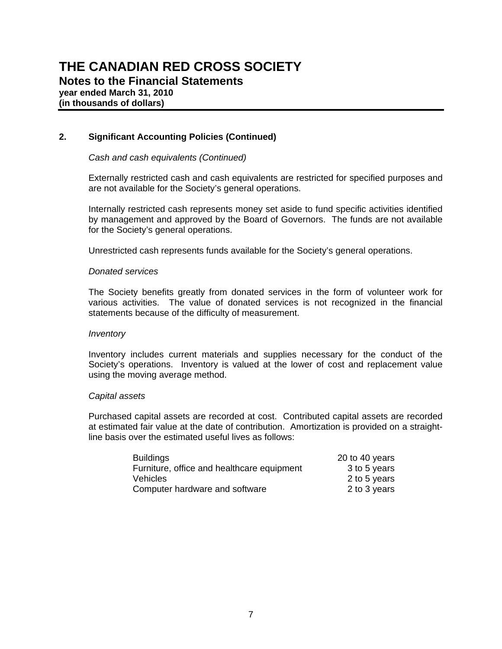### **THE CANADIAN RED CROSS SOCIETY Notes to the Financial Statements year ended March 31, 2010 (in thousands of dollars)**

### **2. Significant Accounting Policies (Continued)**

### *Cash and cash equivalents (Continued)*

Externally restricted cash and cash equivalents are restricted for specified purposes and are not available for the Society's general operations.

Internally restricted cash represents money set aside to fund specific activities identified by management and approved by the Board of Governors. The funds are not available for the Society's general operations.

Unrestricted cash represents funds available for the Society's general operations.

#### *Donated services*

The Society benefits greatly from donated services in the form of volunteer work for various activities. The value of donated services is not recognized in the financial statements because of the difficulty of measurement.

#### *Inventory*

Inventory includes current materials and supplies necessary for the conduct of the Society's operations. Inventory is valued at the lower of cost and replacement value using the moving average method.

#### *Capital assets*

Purchased capital assets are recorded at cost. Contributed capital assets are recorded at estimated fair value at the date of contribution. Amortization is provided on a straightline basis over the estimated useful lives as follows:

| <b>Buildings</b>                           | 20 to 40 years |
|--------------------------------------------|----------------|
| Furniture, office and healthcare equipment | 3 to 5 years   |
| Vehicles                                   | 2 to 5 years   |
| Computer hardware and software             | 2 to 3 years   |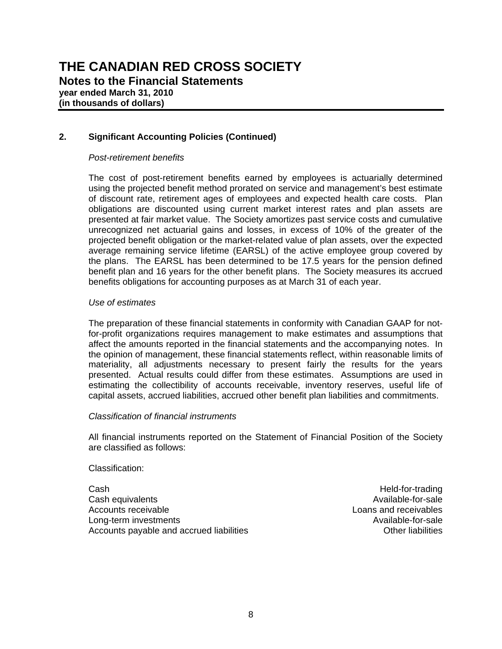### *Post-retirement benefits*

The cost of post-retirement benefits earned by employees is actuarially determined using the projected benefit method prorated on service and management's best estimate of discount rate, retirement ages of employees and expected health care costs. Plan obligations are discounted using current market interest rates and plan assets are presented at fair market value. The Society amortizes past service costs and cumulative unrecognized net actuarial gains and losses, in excess of 10% of the greater of the projected benefit obligation or the market-related value of plan assets, over the expected average remaining service lifetime (EARSL) of the active employee group covered by the plans. The EARSL has been determined to be 17.5 years for the pension defined benefit plan and 16 years for the other benefit plans. The Society measures its accrued benefits obligations for accounting purposes as at March 31 of each year.

### *Use of estimates*

The preparation of these financial statements in conformity with Canadian GAAP for notfor-profit organizations requires management to make estimates and assumptions that affect the amounts reported in the financial statements and the accompanying notes. In the opinion of management, these financial statements reflect, within reasonable limits of materiality, all adjustments necessary to present fairly the results for the years presented. Actual results could differ from these estimates. Assumptions are used in estimating the collectibility of accounts receivable, inventory reserves, useful life of capital assets, accrued liabilities, accrued other benefit plan liabilities and commitments.

### *Classification of financial instruments*

All financial instruments reported on the Statement of Financial Position of the Society are classified as follows:

### Classification:

Cash Held-for-trading Cash equivalents **Cash equivalents** Available-for-sale Accounts receivable **Accounts** receivable **Loans** and receivables Long-term investments Available-for-sale Accounts payable and accrued liabilities **Accounts** Other liabilities **Other liabilities**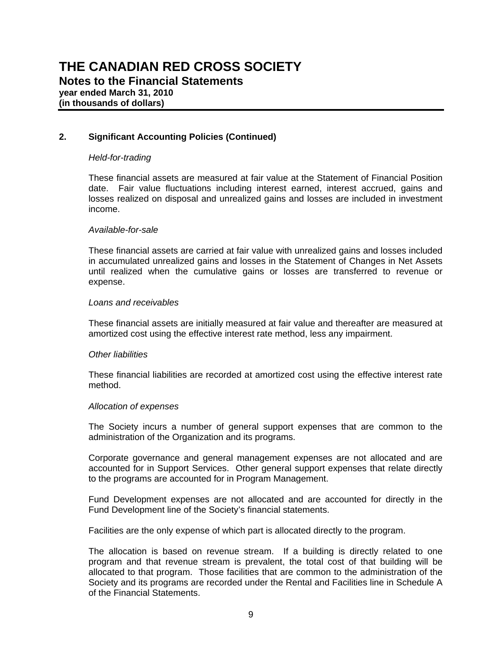### *Held-for-trading*

These financial assets are measured at fair value at the Statement of Financial Position date. Fair value fluctuations including interest earned, interest accrued, gains and losses realized on disposal and unrealized gains and losses are included in investment income.

### *Available-for-sale*

These financial assets are carried at fair value with unrealized gains and losses included in accumulated unrealized gains and losses in the Statement of Changes in Net Assets until realized when the cumulative gains or losses are transferred to revenue or expense.

### *Loans and receivables*

These financial assets are initially measured at fair value and thereafter are measured at amortized cost using the effective interest rate method, less any impairment.

#### *Other liabilities*

These financial liabilities are recorded at amortized cost using the effective interest rate method.

#### *Allocation of expenses*

The Society incurs a number of general support expenses that are common to the administration of the Organization and its programs.

Corporate governance and general management expenses are not allocated and are accounted for in Support Services. Other general support expenses that relate directly to the programs are accounted for in Program Management.

Fund Development expenses are not allocated and are accounted for directly in the Fund Development line of the Society's financial statements.

Facilities are the only expense of which part is allocated directly to the program.

The allocation is based on revenue stream. If a building is directly related to one program and that revenue stream is prevalent, the total cost of that building will be allocated to that program. Those facilities that are common to the administration of the Society and its programs are recorded under the Rental and Facilities line in Schedule A of the Financial Statements.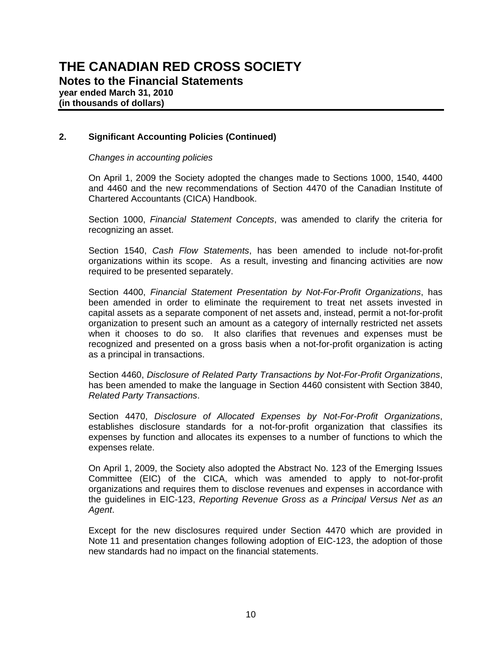*Changes in accounting policies* 

On April 1, 2009 the Society adopted the changes made to Sections 1000, 1540, 4400 and 4460 and the new recommendations of Section 4470 of the Canadian Institute of Chartered Accountants (CICA) Handbook.

Section 1000, *Financial Statement Concepts*, was amended to clarify the criteria for recognizing an asset.

Section 1540, *Cash Flow Statements*, has been amended to include not-for-profit organizations within its scope. As a result, investing and financing activities are now required to be presented separately.

Section 4400, *Financial Statement Presentation by Not-For-Profit Organizations*, has been amended in order to eliminate the requirement to treat net assets invested in capital assets as a separate component of net assets and, instead, permit a not-for-profit organization to present such an amount as a category of internally restricted net assets when it chooses to do so. It also clarifies that revenues and expenses must be recognized and presented on a gross basis when a not-for-profit organization is acting as a principal in transactions.

Section 4460, *Disclosure of Related Party Transactions by Not-For-Profit Organizations*, has been amended to make the language in Section 4460 consistent with Section 3840, *Related Party Transactions*.

Section 4470, *Disclosure of Allocated Expenses by Not-For-Profit Organizations*, establishes disclosure standards for a not-for-profit organization that classifies its expenses by function and allocates its expenses to a number of functions to which the expenses relate.

On April 1, 2009, the Society also adopted the Abstract No. 123 of the Emerging Issues Committee (EIC) of the CICA, which was amended to apply to not-for-profit organizations and requires them to disclose revenues and expenses in accordance with the guidelines in EIC-123, *Reporting Revenue Gross as a Principal Versus Net as an Agent*.

Except for the new disclosures required under Section 4470 which are provided in Note 11 and presentation changes following adoption of EIC-123, the adoption of those new standards had no impact on the financial statements.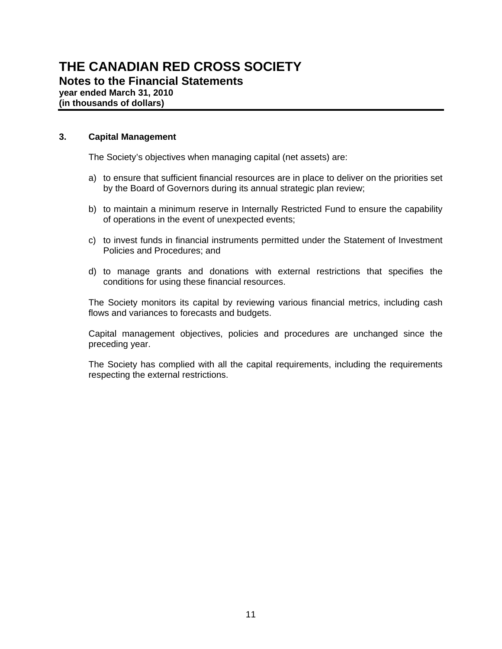### **THE CANADIAN RED CROSS SOCIETY Notes to the Financial Statements year ended March 31, 2010 (in thousands of dollars)**

### **3. Capital Management**

The Society's objectives when managing capital (net assets) are:

- a) to ensure that sufficient financial resources are in place to deliver on the priorities set by the Board of Governors during its annual strategic plan review;
- b) to maintain a minimum reserve in Internally Restricted Fund to ensure the capability of operations in the event of unexpected events;
- c) to invest funds in financial instruments permitted under the Statement of Investment Policies and Procedures; and
- d) to manage grants and donations with external restrictions that specifies the conditions for using these financial resources.

The Society monitors its capital by reviewing various financial metrics, including cash flows and variances to forecasts and budgets.

Capital management objectives, policies and procedures are unchanged since the preceding year.

The Society has complied with all the capital requirements, including the requirements respecting the external restrictions.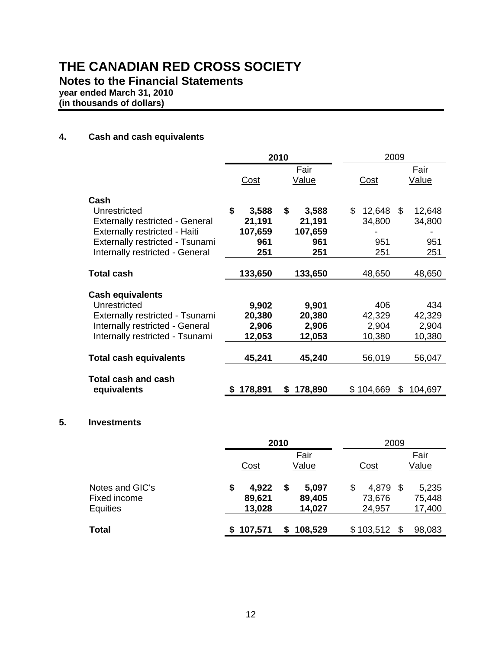**Notes to the Financial Statements**

**year ended March 31, 2010**

**(in thousands of dollars)**

### **4. Cash and cash equivalents**

|                                        |               | 2010         | 2009         |               |  |  |
|----------------------------------------|---------------|--------------|--------------|---------------|--|--|
|                                        |               | Fair         |              | Fair          |  |  |
|                                        | <u>Cost</u>   | <u>Value</u> | <b>Cost</b>  | <b>Value</b>  |  |  |
| Cash                                   |               |              |              |               |  |  |
| Unrestricted                           | \$<br>3,588   | \$<br>3,588  | \$<br>12,648 | \$<br>12,648  |  |  |
| <b>Externally restricted - General</b> | 21,191        | 21,191       | 34,800       | 34,800        |  |  |
| Externally restricted - Haiti          | 107,659       | 107,659      |              |               |  |  |
| Externally restricted - Tsunami        | 961           | 961          | 951          | 951           |  |  |
| Internally restricted - General        | 251           | 251          | 251          | 251           |  |  |
|                                        |               |              |              |               |  |  |
| <b>Total cash</b>                      | 133,650       | 133,650      | 48,650       | 48,650        |  |  |
| <b>Cash equivalents</b>                |               |              |              |               |  |  |
| Unrestricted                           | 9,902         | 9,901        | 406          | 434           |  |  |
| Externally restricted - Tsunami        | 20,380        | 20,380       | 42,329       | 42,329        |  |  |
| Internally restricted - General        | 2,906         | 2,906        | 2,904        | 2,904         |  |  |
| Internally restricted - Tsunami        | 12,053        | 12,053       | 10,380       | 10,380        |  |  |
|                                        |               |              |              |               |  |  |
| <b>Total cash equivalents</b>          | 45,241        | 45,240       | 56,019       | 56,047        |  |  |
| <b>Total cash and cash</b>             |               |              |              |               |  |  |
| equivalents                            | 178,891<br>\$ | 178,890<br>S | \$104,669    | 104,697<br>S. |  |  |

### **5. Investments**

|                 | 2010        |           |       |         | 2009 |           |      |        |  |
|-----------------|-------------|-----------|-------|---------|------|-----------|------|--------|--|
|                 |             | Fair      |       |         |      |           |      | Fair   |  |
|                 | <u>Cost</u> |           | Value |         | Cost |           |      | Value  |  |
| Notes and GIC's | \$          | 4,922     | \$    | 5,097   | S    | 4,879     | - \$ | 5,235  |  |
| Fixed income    |             | 89,621    |       | 89,405  |      | 73,676    |      | 75,448 |  |
| Equities        |             | 13,028    |       | 14,027  |      | 24,957    |      | 17,400 |  |
| <b>Total</b>    |             | \$107,571 |       | 108,529 |      | \$103,512 | \$.  | 98,083 |  |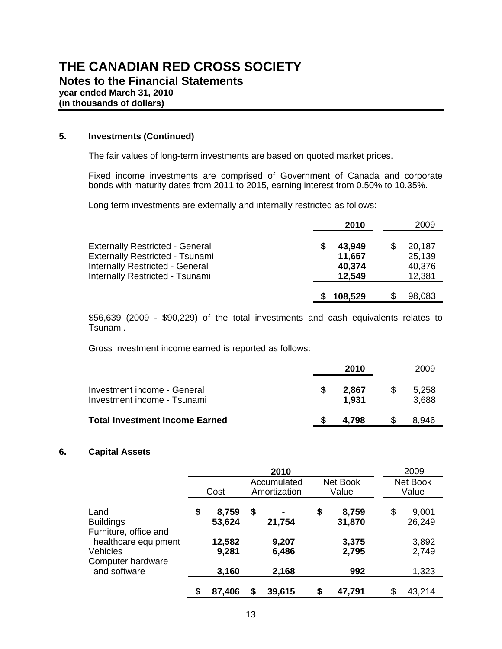### **5. Investments (Continued)**

The fair values of long-term investments are based on quoted market prices.

 Fixed income investments are comprised of Government of Canada and corporate bonds with maturity dates from 2011 to 2015, earning interest from 0.50% to 10.35%.

Long term investments are externally and internally restricted as follows:

|                                                                                                                                                        | 2010                                 | 2009                                 |
|--------------------------------------------------------------------------------------------------------------------------------------------------------|--------------------------------------|--------------------------------------|
| <b>Externally Restricted - General</b><br><b>Externally Restricted - Tsunami</b><br>Internally Restricted - General<br>Internally Restricted - Tsunami | 43,949<br>11,657<br>40,374<br>12,549 | 20,187<br>25,139<br>40,376<br>12,381 |
|                                                                                                                                                        | 108,529                              | 98,083                               |

 \$56,639 (2009 - \$90,229) of the total investments and cash equivalents relates to Tsunami.

Gross investment income earned is reported as follows:

|                                                            | 2010           | 2009           |
|------------------------------------------------------------|----------------|----------------|
| Investment income - General<br>Investment income - Tsunami | 2.867<br>1.931 | 5.258<br>3,688 |
| <b>Total Investment Income Earned</b>                      | 4.798          | 8.946          |

### **6. Capital Assets**

|                                                              |                       |    | 2010                        |                       | 2009                  |
|--------------------------------------------------------------|-----------------------|----|-----------------------------|-----------------------|-----------------------|
|                                                              | Cost                  |    | Accumulated<br>Amortization | Net Book<br>Value     | Net Book<br>Value     |
| Land<br><b>Buildings</b><br>Furniture, office and            | \$<br>8,759<br>53,624 | \$ | 21,754                      | \$<br>8,759<br>31,870 | \$<br>9,001<br>26,249 |
| healthcare equipment<br><b>Vehicles</b><br>Computer hardware | 12,582<br>9,281       |    | 9,207<br>6,486              | 3,375<br>2,795        | 3,892<br>2,749        |
| and software                                                 | 3,160                 |    | 2,168                       | 992                   | 1,323                 |
|                                                              | \$<br>87,406          | \$ | 39,615                      | \$<br>47,791          | \$<br>43,214          |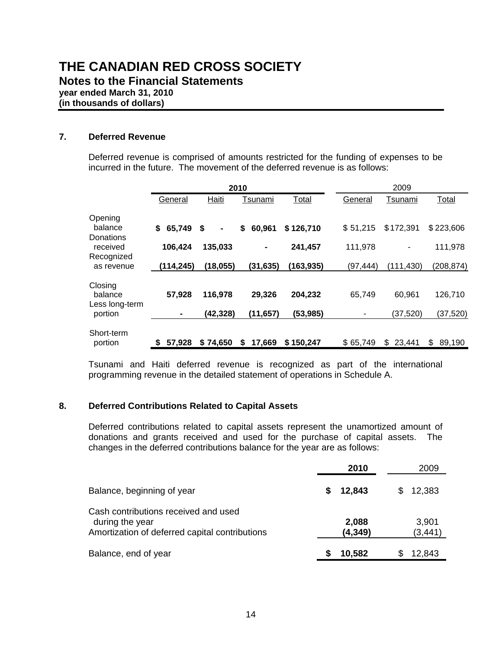### **7. Deferred Revenue**

 Deferred revenue is comprised of amounts restricted for the funding of expenses to be incurred in the future. The movement of the deferred revenue is as follows:

|                                     |                                                                                                        |           | 2010         |           |                | 2009         |              |  |
|-------------------------------------|--------------------------------------------------------------------------------------------------------|-----------|--------------|-----------|----------------|--------------|--------------|--|
|                                     | Haiti<br>General<br>Tsunami<br>\$<br>65,749 \$<br>60,961<br>\$<br>$\blacksquare$<br>106,424<br>135,033 |           | <b>Total</b> | General   | <u>Tsunami</u> | Total        |              |  |
| Opening<br>balance                  |                                                                                                        |           |              | \$126,710 | \$51,215       | \$172,391    | \$223,606    |  |
| Donations<br>received<br>Recognized |                                                                                                        |           |              | 241,457   | 111,978        |              | 111,978      |  |
| as revenue                          | (114, 245)                                                                                             | (18, 055) | (31, 635)    | (163,935) | (97,444)       | (111, 430)   | (208, 874)   |  |
| Closing<br>balance                  | 57,928                                                                                                 | 116,978   | 29,326       | 204,232   | 65,749         | 60,961       | 126,710      |  |
| Less long-term<br>portion           | $\blacksquare$                                                                                         | (42,328)  | (11, 657)    | (53,985)  | ٠              | (37, 520)    | (37, 520)    |  |
| Short-term<br>portion               | 57.928<br>\$                                                                                           | \$74,650  | S<br>17,669  | \$150,247 | \$65,749       | 23,441<br>\$ | \$<br>89,190 |  |

 Tsunami and Haiti deferred revenue is recognized as part of the international programming revenue in the detailed statement of operations in Schedule A.

### **8. Deferred Contributions Related to Capital Assets**

Deferred contributions related to capital assets represent the unamortized amount of donations and grants received and used for the purchase of capital assets. The changes in the deferred contributions balance for the year are as follows:

|                                                                                                           | 2010              | 2009              |
|-----------------------------------------------------------------------------------------------------------|-------------------|-------------------|
| Balance, beginning of year                                                                                | 12,843<br>S.      | 12,383            |
| Cash contributions received and used<br>during the year<br>Amortization of deferred capital contributions | 2,088<br>(4, 349) | 3,901<br>(3, 441) |
| Balance, end of year                                                                                      | 10,582            | 12,843            |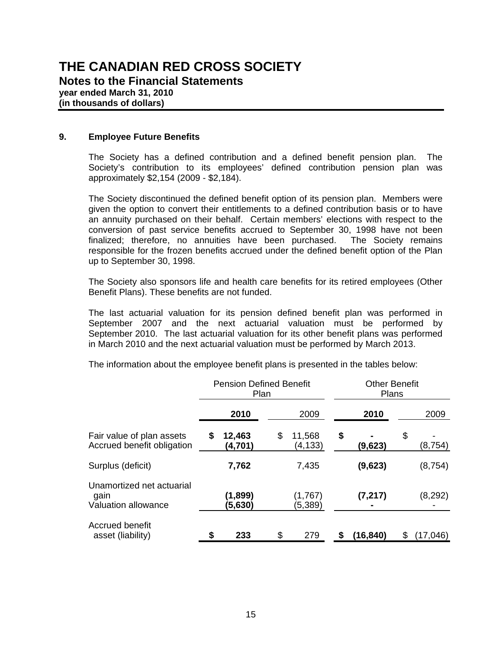### **9. Employee Future Benefits**

The Society has a defined contribution and a defined benefit pension plan. The Society's contribution to its employees' defined contribution pension plan was approximately \$2,154 (2009 - \$2,184).

The Society discontinued the defined benefit option of its pension plan. Members were given the option to convert their entitlements to a defined contribution basis or to have an annuity purchased on their behalf. Certain members' elections with respect to the conversion of past service benefits accrued to September 30, 1998 have not been finalized; therefore, no annuities have been purchased. The Society remains responsible for the frozen benefits accrued under the defined benefit option of the Plan up to September 30, 1998.

The Society also sponsors life and health care benefits for its retired employees (Other Benefit Plans). These benefits are not funded.

The last actuarial valuation for its pension defined benefit plan was performed in September 2007 and the next actuarial valuation must be performed by September 2010. The last actuarial valuation for its other benefit plans was performed in March 2010 and the next actuarial valuation must be performed by March 2013.

|                                                          |      | <b>Pension Defined Benefit</b><br>Plan |                          | <b>Other Benefit</b><br>Plans |           |    |          |  |
|----------------------------------------------------------|------|----------------------------------------|--------------------------|-------------------------------|-----------|----|----------|--|
|                                                          | 2010 |                                        | 2009                     |                               | 2010      |    | 2009     |  |
| Fair value of plan assets<br>Accrued benefit obligation  | \$   | 12,463<br>(4,701)                      | \$<br>11,568<br>(4, 133) | \$                            | (9,623)   | \$ | (8, 754) |  |
| Surplus (deficit)                                        |      | 7,762                                  | 7,435                    |                               | (9,623)   |    | (8, 754) |  |
| Unamortized net actuarial<br>gain<br>Valuation allowance |      | (1,899)<br>(5,630)                     | (1,767)<br>(5,389)       |                               | (7, 217)  |    | (8,292)  |  |
| Accrued benefit<br>asset (liability)                     |      | 233                                    | \$<br>279                | \$                            | (16, 840) |    | (17,046) |  |

The information about the employee benefit plans is presented in the tables below: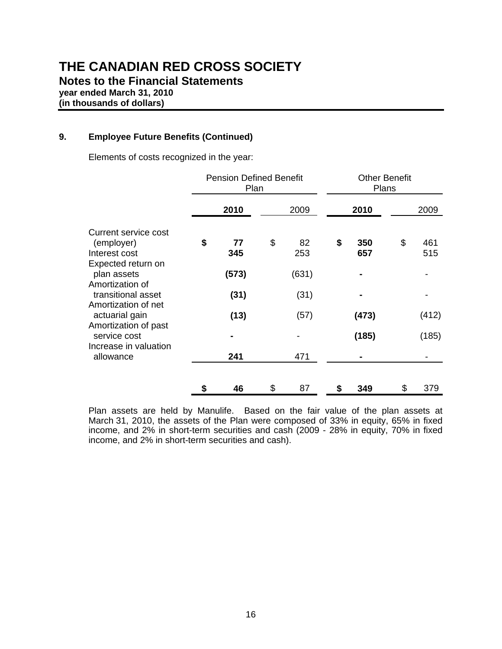### **THE CANADIAN RED CROSS SOCIETY Notes to the Financial Statements year ended March 31, 2010 (in thousands of dollars)**

### **9. Employee Future Benefits (Continued)**

Elements of costs recognized in the year:

|                                                      |    | <b>Pension Defined Benefit</b><br>Plan |    | <b>Other Benefit</b><br>Plans |    |                |    |                |  |  |  |  |
|------------------------------------------------------|----|----------------------------------------|----|-------------------------------|----|----------------|----|----------------|--|--|--|--|
| Current service cost<br>(employer)<br>Interest cost  |    | 2010                                   |    | 2009                          |    | 2010           |    | 2009           |  |  |  |  |
|                                                      | \$ | 77<br>345                              | \$ | 82<br>253                     | \$ | 350<br>657     | \$ | 461<br>515     |  |  |  |  |
| Expected return on<br>plan assets<br>Amortization of |    | (573)                                  |    | (631)                         |    |                |    |                |  |  |  |  |
| transitional asset<br>Amortization of net            |    | (31)                                   |    |                               |    |                |    | (31)           |  |  |  |  |
| actuarial gain<br>Amortization of past               |    | (13)                                   |    | (57)                          |    | (473)<br>(185) |    | (412)<br>(185) |  |  |  |  |
| service cost<br>Increase in valuation<br>allowance   |    | 241                                    |    | 471                           |    |                |    |                |  |  |  |  |
|                                                      | \$ | 46                                     | \$ | 87                            | \$ | 349            | \$ | 379            |  |  |  |  |

Plan assets are held by Manulife. Based on the fair value of the plan assets at March 31, 2010, the assets of the Plan were composed of 33% in equity, 65% in fixed income, and 2% in short-term securities and cash (2009 - 28% in equity, 70% in fixed income, and 2% in short-term securities and cash).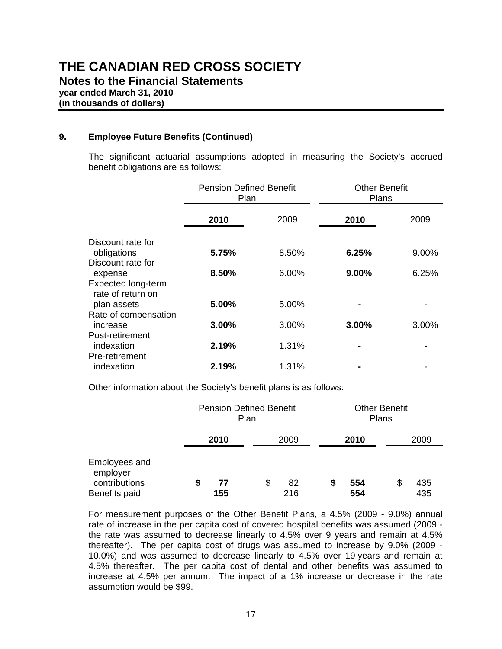### **9. Employee Future Benefits (Continued)**

The significant actuarial assumptions adopted in measuring the Society's accrued benefit obligations are as follows:

|                                                        | <b>Pension Defined Benefit</b><br>Plan |       | <b>Other Benefit</b><br>Plans |       |
|--------------------------------------------------------|----------------------------------------|-------|-------------------------------|-------|
|                                                        | 2010                                   | 2009  | 2010                          | 2009  |
| Discount rate for<br>obligations                       | 5.75%                                  | 8.50% | 6.25%                         | 9.00% |
| Discount rate for<br>expense                           | 8.50%                                  | 6.00% | 9.00%                         | 6.25% |
| Expected long-term<br>rate of return on<br>plan assets | 5.00%                                  | 5.00% |                               |       |
| Rate of compensation<br>increase                       | 3.00%                                  | 3.00% | 3.00%                         | 3.00% |
| Post-retirement<br>indexation                          | 2.19%                                  | 1.31% |                               |       |
| indexation                                             | Pre-retirement<br>2.19%                |       |                               |       |

Other information about the Society's benefit plans is as follows:

|                                                             |                | <b>Pension Defined Benefit</b><br>Plan |      | <b>Other Benefit</b><br>Plans |    |            |      |            |  |
|-------------------------------------------------------------|----------------|----------------------------------------|------|-------------------------------|----|------------|------|------------|--|
|                                                             | 2010           |                                        | 2009 |                               |    | 2010       | 2009 |            |  |
| Employees and<br>employer<br>contributions<br>Benefits paid | 77<br>5<br>155 |                                        | \$   | 82<br>216                     | \$ | 554<br>554 | \$   | 435<br>435 |  |

For measurement purposes of the Other Benefit Plans, a 4.5% (2009 - 9.0%) annual rate of increase in the per capita cost of covered hospital benefits was assumed (2009 the rate was assumed to decrease linearly to 4.5% over 9 years and remain at 4.5% thereafter). The per capita cost of drugs was assumed to increase by 9.0% (2009 - 10.0%) and was assumed to decrease linearly to 4.5% over 19 years and remain at 4.5% thereafter. The per capita cost of dental and other benefits was assumed to increase at 4.5% per annum. The impact of a 1% increase or decrease in the rate assumption would be \$99.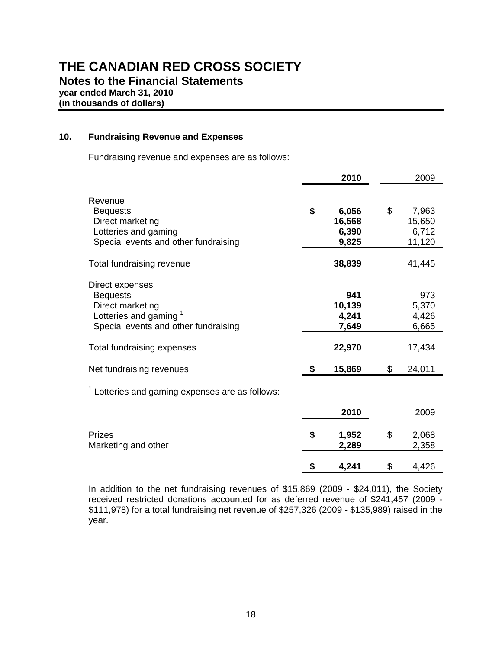### **10. Fundraising Revenue and Expenses**

Fundraising revenue and expenses are as follows:

|                                                                                                                                                                   |    | 2010                                      | 2009                                     |
|-------------------------------------------------------------------------------------------------------------------------------------------------------------------|----|-------------------------------------------|------------------------------------------|
| Revenue<br><b>Bequests</b><br>Direct marketing<br>Lotteries and gaming<br>Special events and other fundraising                                                    | \$ | 6,056<br>16,568<br>6,390<br>9,825         | \$<br>7,963<br>15,650<br>6,712<br>11,120 |
| Total fundraising revenue                                                                                                                                         |    | 38,839                                    | 41,445                                   |
| Direct expenses<br><b>Bequests</b><br>Direct marketing<br>Lotteries and gaming <sup>1</sup><br>Special events and other fundraising<br>Total fundraising expenses |    | 941<br>10,139<br>4,241<br>7,649<br>22,970 | 973<br>5,370<br>4,426<br>6,665<br>17,434 |
| Net fundraising revenues                                                                                                                                          | S  | 15,869                                    | \$<br>24,011                             |
| Lotteries and gaming expenses are as follows:                                                                                                                     |    |                                           |                                          |
|                                                                                                                                                                   |    | 2010                                      | 2009                                     |
| <b>Prizes</b><br>Marketing and other                                                                                                                              | \$ | 1,952<br>2,289                            | \$<br>2,068<br>2,358                     |
|                                                                                                                                                                   | \$ | 4,241                                     | \$<br>4,426                              |

 In addition to the net fundraising revenues of \$15,869 (2009 - \$24,011), the Society received restricted donations accounted for as deferred revenue of \$241,457 (2009 - \$111,978) for a total fundraising net revenue of \$257,326 (2009 - \$135,989) raised in the year.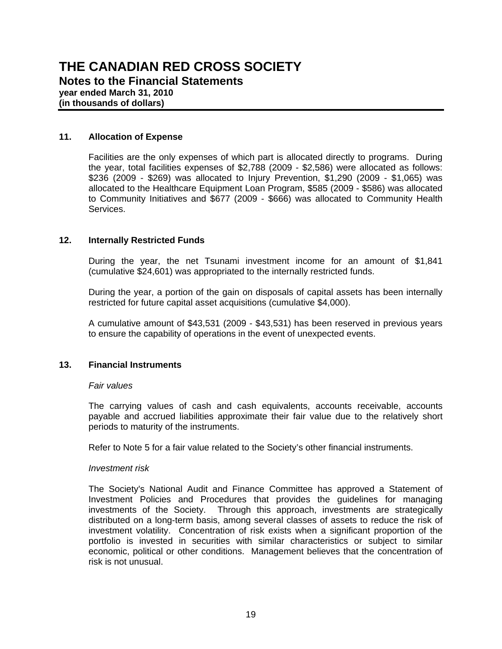### **11. Allocation of Expense**

Facilities are the only expenses of which part is allocated directly to programs. During the year, total facilities expenses of \$2,788 (2009 - \$2,586) were allocated as follows: \$236 (2009 - \$269) was allocated to Injury Prevention, \$1,290 (2009 - \$1,065) was allocated to the Healthcare Equipment Loan Program, \$585 (2009 - \$586) was allocated to Community Initiatives and \$677 (2009 - \$666) was allocated to Community Health Services.

### **12. Internally Restricted Funds**

During the year, the net Tsunami investment income for an amount of \$1,841 (cumulative \$24,601) was appropriated to the internally restricted funds.

During the year, a portion of the gain on disposals of capital assets has been internally restricted for future capital asset acquisitions (cumulative \$4,000).

A cumulative amount of \$43,531 (2009 - \$43,531) has been reserved in previous years to ensure the capability of operations in the event of unexpected events.

### **13. Financial Instruments**

### *Fair values*

The carrying values of cash and cash equivalents, accounts receivable, accounts payable and accrued liabilities approximate their fair value due to the relatively short periods to maturity of the instruments.

Refer to Note 5 for a fair value related to the Society's other financial instruments.

### *Investment risk*

The Society's National Audit and Finance Committee has approved a Statement of Investment Policies and Procedures that provides the guidelines for managing investments of the Society. Through this approach, investments are strategically distributed on a long-term basis, among several classes of assets to reduce the risk of investment volatility. Concentration of risk exists when a significant proportion of the portfolio is invested in securities with similar characteristics or subject to similar economic, political or other conditions. Management believes that the concentration of risk is not unusual.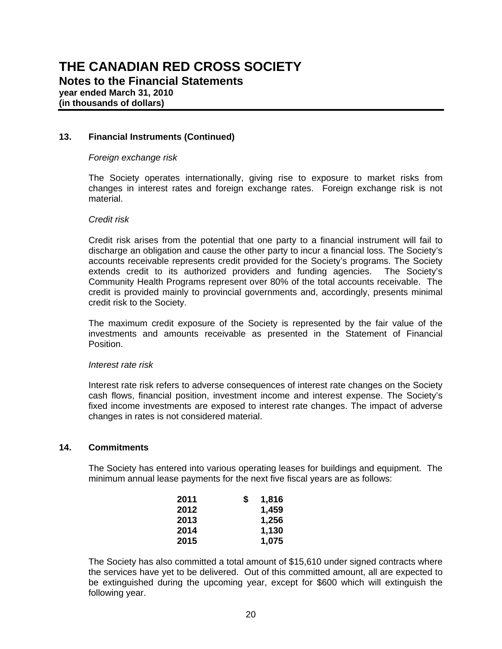### **13. Financial Instruments (Continued)**

### *Foreign exchange risk*

The Society operates internationally, giving rise to exposure to market risks from changes in interest rates and foreign exchange rates. Foreign exchange risk is not material.

#### *Credit risk*

Credit risk arises from the potential that one party to a financial instrument will fail to discharge an obligation and cause the other party to incur a financial loss. The Society's accounts receivable represents credit provided for the Society's programs. The Society extends credit to its authorized providers and funding agencies. The Society's Community Health Programs represent over 80% of the total accounts receivable. The credit is provided mainly to provincial governments and, accordingly, presents minimal credit risk to the Society.

The maximum credit exposure of the Society is represented by the fair value of the investments and amounts receivable as presented in the Statement of Financial Position.

#### *Interest rate risk*

Interest rate risk refers to adverse consequences of interest rate changes on the Society cash flows, financial position, investment income and interest expense. The Society's fixed income investments are exposed to interest rate changes. The impact of adverse changes in rates is not considered material.

### **14. Commitments**

The Society has entered into various operating leases for buildings and equipment. The minimum annual lease payments for the next five fiscal years are as follows:

| 2011 | S | 1,816 |
|------|---|-------|
| 2012 |   | 1,459 |
| 2013 |   | 1,256 |
| 2014 |   | 1,130 |
| 2015 |   | 1,075 |

The Society has also committed a total amount of \$15,610 under signed contracts where the services have yet to be delivered. Out of this committed amount, all are expected to be extinguished during the upcoming year, except for \$600 which will extinguish the following year.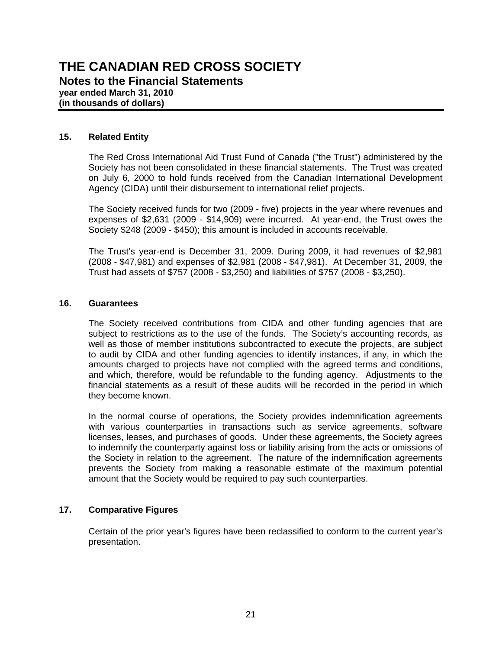### **15. Related Entity**

The Red Cross International Aid Trust Fund of Canada ("the Trust") administered by the Society has not been consolidated in these financial statements. The Trust was created on July 6, 2000 to hold funds received from the Canadian International Development Agency (CIDA) until their disbursement to international relief projects.

The Society received funds for two (2009 - five) projects in the year where revenues and expenses of \$2,631 (2009 - \$14,909) were incurred. At year-end, the Trust owes the Society \$248 (2009 - \$450); this amount is included in accounts receivable.

The Trust's year-end is December 31, 2009. During 2009, it had revenues of \$2,981 (2008 - \$47,981) and expenses of \$2,981 (2008 - \$47,981). At December 31, 2009, the Trust had assets of \$757 (2008 - \$3,250) and liabilities of \$757 (2008 - \$3,250).

### **16. Guarantees**

The Society received contributions from CIDA and other funding agencies that are subject to restrictions as to the use of the funds. The Society's accounting records, as well as those of member institutions subcontracted to execute the projects, are subject to audit by CIDA and other funding agencies to identify instances, if any, in which the amounts charged to projects have not complied with the agreed terms and conditions, and which, therefore, would be refundable to the funding agency. Adjustments to the financial statements as a result of these audits will be recorded in the period in which they become known.

In the normal course of operations, the Society provides indemnification agreements with various counterparties in transactions such as service agreements, software licenses, leases, and purchases of goods. Under these agreements, the Society agrees to indemnify the counterparty against loss or liability arising from the acts or omissions of the Society in relation to the agreement. The nature of the indemnification agreements prevents the Society from making a reasonable estimate of the maximum potential amount that the Society would be required to pay such counterparties.

### **17. Comparative Figures**

Certain of the prior year's figures have been reclassified to conform to the current year's presentation.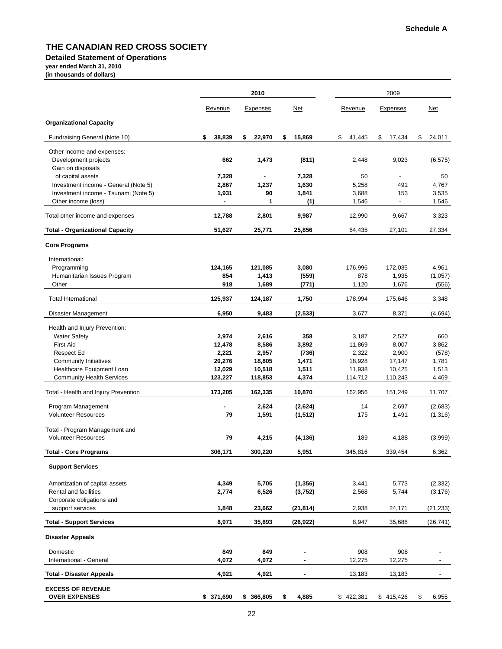### **Detailed Statement of Operations**

**year ended March 31, 2010**

**(in thousands of dollars)**

|                                                      |                | 2010             |                | 2009           |                          |                  |  |  |  |
|------------------------------------------------------|----------------|------------------|----------------|----------------|--------------------------|------------------|--|--|--|
|                                                      | Revenue        | Expenses         | Net            | Revenue        | Expenses                 | Net              |  |  |  |
| <b>Organizational Capacity</b>                       |                |                  |                |                |                          |                  |  |  |  |
| Fundraising General (Note 10)                        | \$<br>38,839   | 22,970<br>\$     | 15,869<br>\$   | \$<br>41,445   | \$<br>17,434             | \$<br>24,011     |  |  |  |
| Other income and expenses:<br>Development projects   | 662            | 1,473            | (811)          | 2,448          | 9,023                    | (6, 575)         |  |  |  |
| Gain on disposals<br>of capital assets               | 7,328          |                  | 7,328          | 50             | ۰                        | 50               |  |  |  |
| Investment income - General (Note 5)                 | 2,867          | 1,237            | 1,630          | 5,258          | 491                      | 4,767            |  |  |  |
| Investment income - Tsunami (Note 5)                 | 1,931          | 90               | 1,841          | 3,688          | 153                      | 3,535            |  |  |  |
| Other income (loss)                                  |                | 1                | (1)            | 1,546          | $\overline{\phantom{a}}$ | 1,546            |  |  |  |
| Total other income and expenses                      | 12,788         | 2,801            | 9,987          | 12,990         | 9,667                    | 3,323            |  |  |  |
| <b>Total - Organizational Capacity</b>               | 51,627         | 25,771           | 25,856         | 54,435         | 27,101                   | 27,334           |  |  |  |
| <b>Core Programs</b>                                 |                |                  |                |                |                          |                  |  |  |  |
| International:                                       |                |                  |                |                |                          |                  |  |  |  |
| Programming                                          | 124,165<br>854 | 121,085<br>1,413 | 3,080<br>(559) | 176,996<br>878 | 172,035<br>1,935         | 4,961<br>(1,057) |  |  |  |
| Humanitarian Issues Program<br>Other                 | 918            | 1,689            | (771)          | 1,120          | 1,676                    | (556)            |  |  |  |
| <b>Total International</b>                           | 125,937        | 124,187          | 1,750          | 178,994        | 175,646                  | 3,348            |  |  |  |
| Disaster Management                                  | 6,950          | 9,483            | (2, 533)       | 3,677          | 8,371                    | (4,694)          |  |  |  |
|                                                      |                |                  |                |                |                          |                  |  |  |  |
| Health and Injury Prevention:<br><b>Water Safety</b> | 2,974          | 2,616            | 358            | 3,187          | 2,527                    | 660              |  |  |  |
| <b>First Aid</b>                                     | 12,478         | 8,586            | 3,892          | 11,869         | 8,007                    | 3,862            |  |  |  |
| Respect Ed                                           | 2,221          | 2,957            | (736)          | 2,322          | 2,900                    | (578)            |  |  |  |
| <b>Community Initiatives</b>                         | 20,276         | 18,805           | 1,471          | 18,928         | 17,147                   | 1,781            |  |  |  |
| Healthcare Equipment Loan                            | 12,029         | 10,518           | 1,511          | 11,938         | 10,425                   | 1,513            |  |  |  |
| <b>Community Health Services</b>                     | 123,227        | 118,853          | 4,374          | 114,712        | 110,243                  | 4,469            |  |  |  |
| Total - Health and Injury Prevention                 | 173,205        | 162,335          | 10,870         | 162,956        | 151,249                  | 11,707           |  |  |  |
| Program Management                                   |                | 2,624            | (2,624)        | 14             | 2,697                    | (2,683)          |  |  |  |
| <b>Volunteer Resources</b>                           | 79             | 1,591            | (1, 512)       | 175            | 1,491                    | (1, 316)         |  |  |  |
| Total - Program Management and                       |                |                  |                |                |                          |                  |  |  |  |
| <b>Volunteer Resources</b>                           | 79             | 4,215            | (4, 136)       | 189            | 4,188                    | (3,999)          |  |  |  |
| <b>Total - Core Programs</b>                         | 306,171        | 300,220          | 5,951          | 345,816        | 339,454                  | 6,362            |  |  |  |
| <b>Support Services</b>                              |                |                  |                |                |                          |                  |  |  |  |
| Amortization of capital assets                       | 4,349          | 5,705            | (1, 356)       | 3,441          | 5,773                    | (2, 332)         |  |  |  |
| Rental and facilities                                | 2,774          | 6,526            | (3,752)        | 2,568          | 5,744                    | (3, 176)         |  |  |  |
| Corporate obligations and                            |                |                  |                |                |                          |                  |  |  |  |
| support services                                     | 1,848          | 23,662           | (21, 814)      | 2,938          | 24,171                   | (21, 233)        |  |  |  |
| <b>Total - Support Services</b>                      | 8,971          | 35,893           | (26, 922)      | 8,947          | 35,688                   | (26, 741)        |  |  |  |
| <b>Disaster Appeals</b>                              |                |                  |                |                |                          |                  |  |  |  |
| Domestic                                             | 849            | 849              |                | 908            | 908                      |                  |  |  |  |
| International - General                              | 4,072          | 4,072            |                | 12,275         | 12,275                   |                  |  |  |  |
| <b>Total - Disaster Appeals</b>                      | 4,921          | 4,921            | $\blacksquare$ | 13,183         | 13,183                   |                  |  |  |  |
| <b>EXCESS OF REVENUE</b>                             |                |                  |                |                |                          |                  |  |  |  |
| <b>OVER EXPENSES</b>                                 | \$ 371,690     | \$ 366,805       | 4,885<br>\$    | \$422,381      | \$415,426                | \$<br>6,955      |  |  |  |